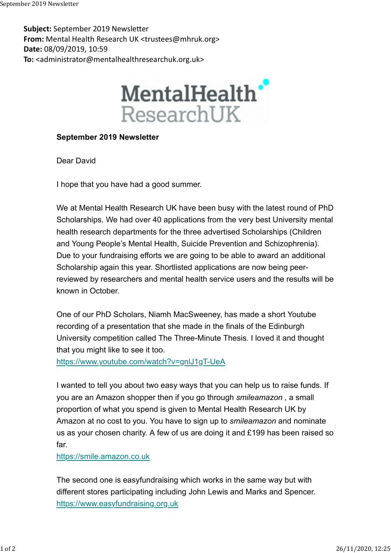Subject: September 2019 Newsletter From: Mental Health Research UK <trustees@mhruk.org> Date: 08/09/2019, 10:59 To: <administrator@mentalhealthresearchuk.org.uk> September 2019 Newsletter<br>**Subject:** September 2019 Newsletter<br>**From:** Mental Health Research UK <trustees@mhruk.org>



## September 2019 Newsletter

Dear David

I hope that you have had a good summer.

We at Mental Health Research UK have been busy with the latest round of PhD Scholarships. We had over 40 applications from the very best University mental health research departments for the three advertised Scholarships (Children and Young People's Mental Health, Suicide Prevention and Schizophrenia). Due to your fundraising efforts we are going to be able to award an additional Scholarship again this year. Shortlisted applications are now being peerreviewed by researchers and mental health service users and the results will be known in October.

One of our PhD Scholars, Niamh MacSweeney, has made a short Youtube recording of a presentation that she made in the finals of the Edinburgh University competition called The Three-Minute Thesis. I loved it and thought that you might like to see it too.

https://www.youtube.com/watch?v=gnlJ1gT-UeA

I wanted to tell you about two easy ways that you can help us to raise funds. If you are an Amazon shopper then if you go through smileamazon , a small proportion of what you spend is given to Mental Health Research UK by Amazon at no cost to you. You have to sign up to *smileamazon* and nominate us as your chosen charity. A few of us are doing it and £199 has been raised so far.

https://smile.amazon.co.uk

The second one is easyfundraising which works in the same way but with different stores participating including John Lewis and Marks and Spencer. https://www.easyfundraising.org.uk